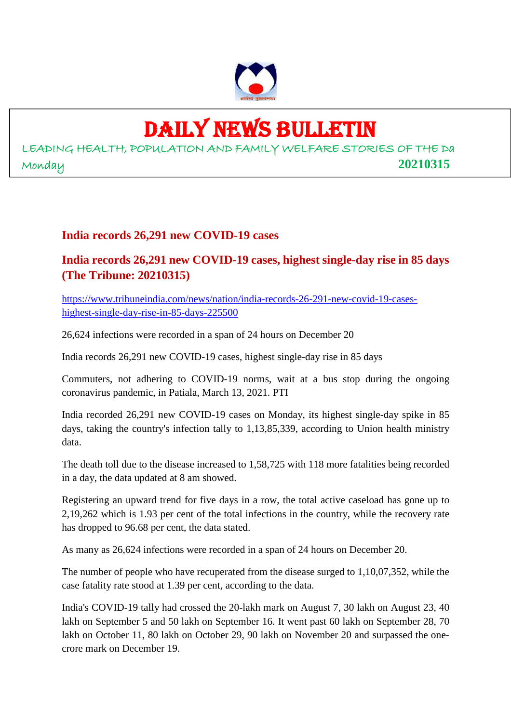

## DAILY NEWS BULLETIN

LEADING HEALTH, POPULATION AND FAMILY WELFARE STORIES OF THE Da Monday **20210315**

#### **India records 26,291 new COVID-19 cases**

#### **India records 26,291 new COVID-19 cases, highest single-day rise in 85 days (The Tribune: 20210315)**

https://www.tribuneindia.com/news/nation/india-records-26-291-new-covid-19-caseshighest-single-day-rise-in-85-days-225500

26,624 infections were recorded in a span of 24 hours on December 20

India records 26,291 new COVID-19 cases, highest single-day rise in 85 days

Commuters, not adhering to COVID-19 norms, wait at a bus stop during the ongoing coronavirus pandemic, in Patiala, March 13, 2021. PTI

India recorded 26,291 new COVID-19 cases on Monday, its highest single-day spike in 85 days, taking the country's infection tally to 1,13,85,339, according to Union health ministry data.

The death toll due to the disease increased to 1,58,725 with 118 more fatalities being recorded in a day, the data updated at 8 am showed.

Registering an upward trend for five days in a row, the total active caseload has gone up to 2,19,262 which is 1.93 per cent of the total infections in the country, while the recovery rate has dropped to 96.68 per cent, the data stated.

As many as 26,624 infections were recorded in a span of 24 hours on December 20.

The number of people who have recuperated from the disease surged to 1,10,07,352, while the case fatality rate stood at 1.39 per cent, according to the data.

India's COVID-19 tally had crossed the 20-lakh mark on August 7, 30 lakh on August 23, 40 lakh on September 5 and 50 lakh on September 16. It went past 60 lakh on September 28, 70 lakh on October 11, 80 lakh on October 29, 90 lakh on November 20 and surpassed the onecrore mark on December 19.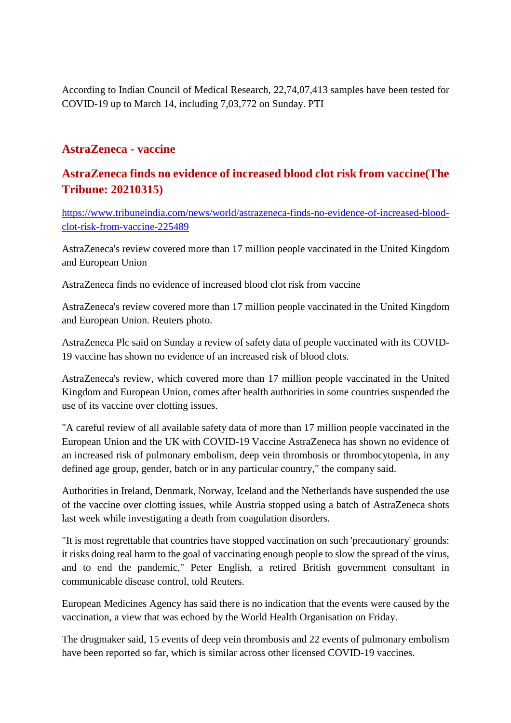According to Indian Council of Medical Research, 22,74,07,413 samples have been tested for COVID-19 up to March 14, including 7,03,772 on Sunday. PTI

#### **AstraZeneca - vaccine**

#### **AstraZeneca finds no evidence of increased blood clot risk from vaccine(The Tribune: 20210315)**

https://www.tribuneindia.com/news/world/astrazeneca-finds-no-evidence-of-increased-bloodclot-risk-from-vaccine-225489

AstraZeneca's review covered more than 17 million people vaccinated in the United Kingdom and European Union

AstraZeneca finds no evidence of increased blood clot risk from vaccine

AstraZeneca's review covered more than 17 million people vaccinated in the United Kingdom and European Union. Reuters photo.

AstraZeneca Plc said on Sunday a review of safety data of people vaccinated with its COVID-19 vaccine has shown no evidence of an increased risk of blood clots.

AstraZeneca's review, which covered more than 17 million people vaccinated in the United Kingdom and European Union, comes after health authorities in some countries suspended the use of its vaccine over clotting issues.

"A careful review of all available safety data of more than 17 million people vaccinated in the European Union and the UK with COVID-19 Vaccine AstraZeneca has shown no evidence of an increased risk of pulmonary embolism, deep vein thrombosis or thrombocytopenia, in any defined age group, gender, batch or in any particular country," the company said.

Authorities in Ireland, Denmark, Norway, Iceland and the Netherlands have suspended the use of the vaccine over clotting issues, while Austria stopped using a batch of AstraZeneca shots last week while investigating a death from coagulation disorders.

"It is most regrettable that countries have stopped vaccination on such 'precautionary' grounds: it risks doing real harm to the goal of vaccinating enough people to slow the spread of the virus, and to end the pandemic," Peter English, a retired British government consultant in communicable disease control, told Reuters.

European Medicines Agency has said there is no indication that the events were caused by the vaccination, a view that was echoed by the World Health Organisation on Friday.

The drugmaker said, 15 events of deep vein thrombosis and 22 events of pulmonary embolism have been reported so far, which is similar across other licensed COVID-19 vaccines.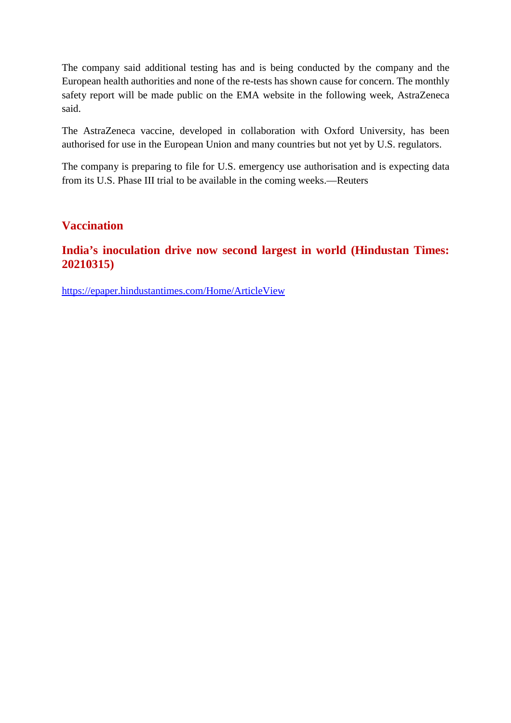The company said additional testing has and is being conducted by the company and the European health authorities and none of the re-tests has shown cause for concern. The monthly safety report will be made public on the EMA website in the following week, AstraZeneca said.

The AstraZeneca vaccine, developed in collaboration with Oxford University, has been authorised for use in the European Union and many countries but not yet by U.S. regulators.

The company is preparing to file for U.S. emergency use authorisation and is expecting data from its U.S. Phase III trial to be available in the coming weeks.—Reuters

#### **Vaccination**

#### **India's inoculation drive now second largest in world (Hindustan Times: 20210315)**

https://epaper.hindustantimes.com/Home/ArticleView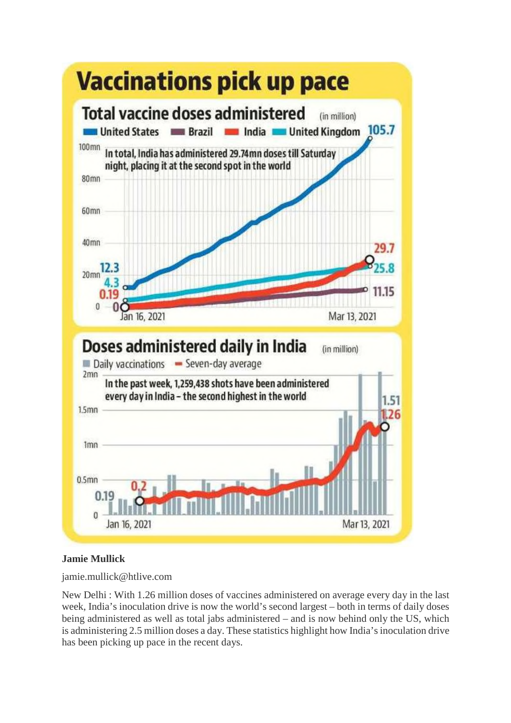

#### **Jamie Mullick**

jamie.mullick@htlive.com

New Delhi : With 1.26 million doses of vaccines administered on average every day in the last week, India's inoculation drive is now the world's second largest – both in terms of daily doses being administered as well as total jabs administered – and is now behind only the US, which is administering 2.5 million doses a day. These statistics highlight how India's inoculation drive has been picking up pace in the recent days.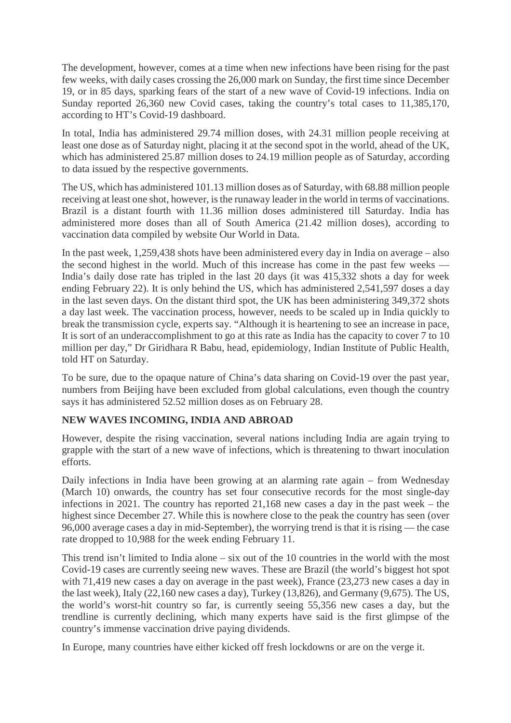The development, however, comes at a time when new infections have been rising for the past few weeks, with daily cases crossing the 26,000 mark on Sunday, the first time since December 19, or in 85 days, sparking fears of the start of a new wave of Covid-19 infections. India on Sunday reported 26,360 new Covid cases, taking the country's total cases to 11,385,170, according to HT's Covid-19 dashboard.

In total, India has administered 29.74 million doses, with 24.31 million people receiving at least one dose as of Saturday night, placing it at the second spot in the world, ahead of the UK, which has administered 25.87 million doses to 24.19 million people as of Saturday, according to data issued by the respective governments.

The US, which has administered 101.13 million doses as of Saturday, with 68.88 million people receiving at least one shot, however, is the runaway leader in the world in terms of vaccinations. Brazil is a distant fourth with 11.36 million doses administered till Saturday. India has administered more doses than all of South America (21.42 million doses), according to vaccination data compiled by website Our World in Data.

In the past week, 1,259,438 shots have been administered every day in India on average – also the second highest in the world. Much of this increase has come in the past few weeks — India's daily dose rate has tripled in the last 20 days (it was 415,332 shots a day for week ending February 22). It is only behind the US, which has administered 2,541,597 doses a day in the last seven days. On the distant third spot, the UK has been administering 349,372 shots a day last week. The vaccination process, however, needs to be scaled up in India quickly to break the transmission cycle, experts say. "Although it is heartening to see an increase in pace, It is sort of an underaccomplishment to go at this rate as India has the capacity to cover 7 to 10 million per day," Dr Giridhara R Babu, head, epidemiology, Indian Institute of Public Health, told HT on Saturday.

To be sure, due to the opaque nature of China's data sharing on Covid-19 over the past year, numbers from Beijing have been excluded from global calculations, even though the country says it has administered 52.52 million doses as on February 28.

#### **NEW WAVES INCOMING, INDIA AND ABROAD**

However, despite the rising vaccination, several nations including India are again trying to grapple with the start of a new wave of infections, which is threatening to thwart inoculation efforts.

Daily infections in India have been growing at an alarming rate again – from Wednesday (March 10) onwards, the country has set four consecutive records for the most single-day infections in 2021. The country has reported 21,168 new cases a day in the past week – the highest since December 27. While this is nowhere close to the peak the country has seen (over 96,000 average cases a day in mid-September), the worrying trend is that it is rising — the case rate dropped to 10,988 for the week ending February 11.

This trend isn't limited to India alone – six out of the 10 countries in the world with the most Covid-19 cases are currently seeing new waves. These are Brazil (the world's biggest hot spot with 71,419 new cases a day on average in the past week), France (23,273 new cases a day in the last week), Italy (22,160 new cases a day), Turkey (13,826), and Germany (9,675). The US, the world's worst-hit country so far, is currently seeing 55,356 new cases a day, but the trendline is currently declining, which many experts have said is the first glimpse of the country's immense vaccination drive paying dividends.

In Europe, many countries have either kicked off fresh lockdowns or are on the verge it.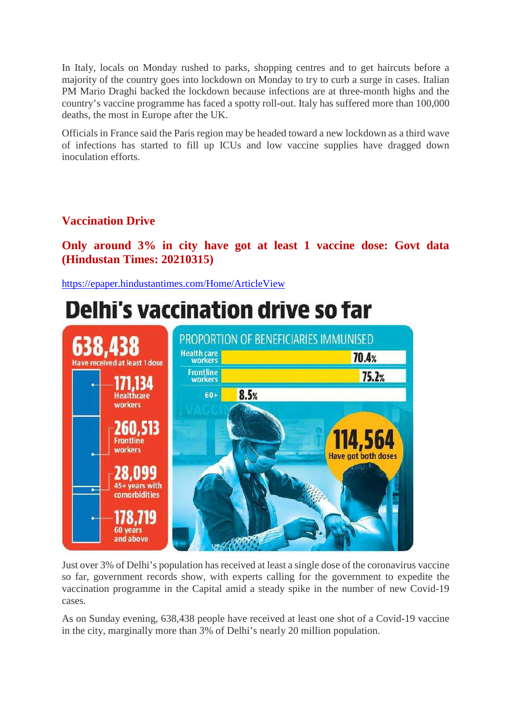In Italy, locals on Monday rushed to parks, shopping centres and to get haircuts before a majority of the country goes into lockdown on Monday to try to curb a surge in cases. Italian PM Mario Draghi backed the lockdown because infections are at three-month highs and the country's vaccine programme has faced a spotty roll-out. Italy has suffered more than 100,000 deaths, the most in Europe after the UK.

Officials in France said the Paris region may be headed toward a new lockdown as a third wave of infections has started to fill up ICUs and low vaccine supplies have dragged down inoculation efforts.

#### **Vaccination Drive**

**Only around 3% in city have got at least 1 vaccine dose: Govt data (Hindustan Times: 20210315)**

https://epaper.hindustantimes.com/Home/ArticleView

### **Delhi's vaccination drive so far**



Just over 3% of Delhi's population has received at least a single dose of the coronavirus vaccine so far, government records show, with experts calling for the government to expedite the vaccination programme in the Capital amid a steady spike in the number of new Covid-19 cases.

As on Sunday evening, 638,438 people have received at least one shot of a Covid-19 vaccine in the city, marginally more than 3% of Delhi's nearly 20 million population.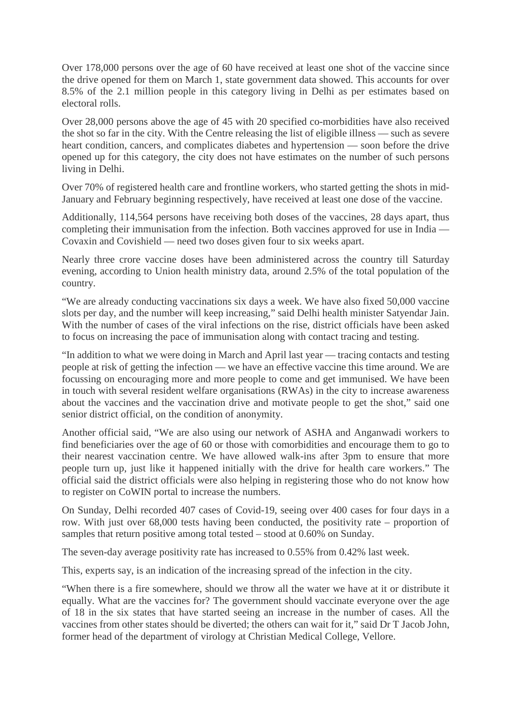Over 178,000 persons over the age of 60 have received at least one shot of the vaccine since the drive opened for them on March 1, state government data showed. This accounts for over 8.5% of the 2.1 million people in this category living in Delhi as per estimates based on electoral rolls.

Over 28,000 persons above the age of 45 with 20 specified co-morbidities have also received the shot so far in the city. With the Centre releasing the list of eligible illness — such as severe heart condition, cancers, and complicates diabetes and hypertension — soon before the drive opened up for this category, the city does not have estimates on the number of such persons living in Delhi.

Over 70% of registered health care and frontline workers, who started getting the shots in mid-January and February beginning respectively, have received at least one dose of the vaccine.

Additionally, 114,564 persons have receiving both doses of the vaccines, 28 days apart, thus completing their immunisation from the infection. Both vaccines approved for use in India — Covaxin and Covishield — need two doses given four to six weeks apart.

Nearly three crore vaccine doses have been administered across the country till Saturday evening, according to Union health ministry data, around 2.5% of the total population of the country.

"We are already conducting vaccinations six days a week. We have also fixed 50,000 vaccine slots per day, and the number will keep increasing," said Delhi health minister Satyendar Jain. With the number of cases of the viral infections on the rise, district officials have been asked to focus on increasing the pace of immunisation along with contact tracing and testing.

"In addition to what we were doing in March and April last year — tracing contacts and testing people at risk of getting the infection — we have an effective vaccine this time around. We are focussing on encouraging more and more people to come and get immunised. We have been in touch with several resident welfare organisations (RWAs) in the city to increase awareness about the vaccines and the vaccination drive and motivate people to get the shot," said one senior district official, on the condition of anonymity.

Another official said, "We are also using our network of ASHA and Anganwadi workers to find beneficiaries over the age of 60 or those with comorbidities and encourage them to go to their nearest vaccination centre. We have allowed walk-ins after 3pm to ensure that more people turn up, just like it happened initially with the drive for health care workers." The official said the district officials were also helping in registering those who do not know how to register on CoWIN portal to increase the numbers.

On Sunday, Delhi recorded 407 cases of Covid-19, seeing over 400 cases for four days in a row. With just over 68,000 tests having been conducted, the positivity rate – proportion of samples that return positive among total tested – stood at 0.60% on Sunday.

The seven-day average positivity rate has increased to 0.55% from 0.42% last week.

This, experts say, is an indication of the increasing spread of the infection in the city.

"When there is a fire somewhere, should we throw all the water we have at it or distribute it equally. What are the vaccines for? The government should vaccinate everyone over the age of 18 in the six states that have started seeing an increase in the number of cases. All the vaccines from other states should be diverted; the others can wait for it," said Dr T Jacob John, former head of the department of virology at Christian Medical College, Vellore.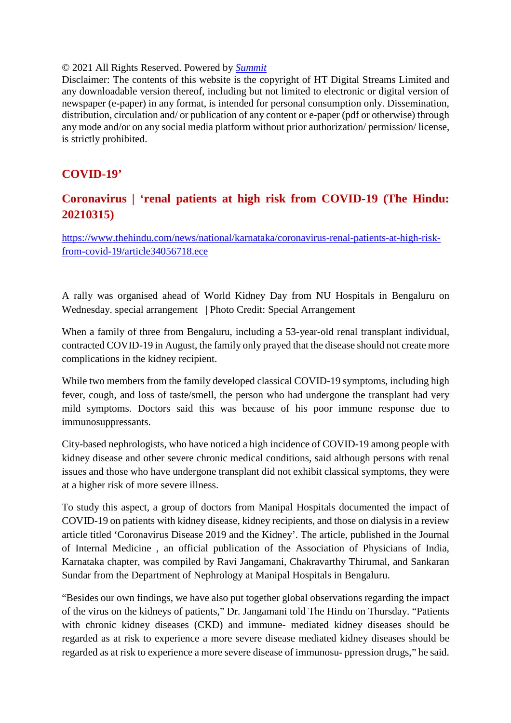#### © 2021 All Rights Reserved. Powered by *Summit*

Disclaimer: The contents of this website is the copyright of HT Digital Streams Limited and any downloadable version thereof, including but not limited to electronic or digital version of newspaper (e-paper) in any format, is intended for personal consumption only. Dissemination, distribution, circulation and/ or publication of any content or e-paper (pdf or otherwise) through any mode and/or on any social media platform without prior authorization/ permission/ license, is strictly prohibited.

#### **COVID-19'**

#### **Coronavirus | 'renal patients at high risk from COVID-19 (The Hindu: 20210315)**

https://www.thehindu.com/news/national/karnataka/coronavirus-renal-patients-at-high-riskfrom-covid-19/article34056718.ece

A rally was organised ahead of World Kidney Day from NU Hospitals in Bengaluru on Wednesday. special arrangement | Photo Credit: Special Arrangement

When a family of three from Bengaluru, including a 53-year-old renal transplant individual, contracted COVID-19 in August, the family only prayed that the disease should not create more complications in the kidney recipient.

While two members from the family developed classical COVID-19 symptoms, including high fever, cough, and loss of taste/smell, the person who had undergone the transplant had very mild symptoms. Doctors said this was because of his poor immune response due to immunosuppressants.

City-based nephrologists, who have noticed a high incidence of COVID-19 among people with kidney disease and other severe chronic medical conditions, said although persons with renal issues and those who have undergone transplant did not exhibit classical symptoms, they were at a higher risk of more severe illness.

To study this aspect, a group of doctors from Manipal Hospitals documented the impact of COVID-19 on patients with kidney disease, kidney recipients, and those on dialysis in a review article titled 'Coronavirus Disease 2019 and the Kidney'. The article, published in the Journal of Internal Medicine , an official publication of the Association of Physicians of India, Karnataka chapter, was compiled by Ravi Jangamani, Chakravarthy Thirumal, and Sankaran Sundar from the Department of Nephrology at Manipal Hospitals in Bengaluru.

"Besides our own findings, we have also put together global observations regarding the impact of the virus on the kidneys of patients," Dr. Jangamani told The Hindu on Thursday. "Patients with chronic kidney diseases (CKD) and immune- mediated kidney diseases should be regarded as at risk to experience a more severe disease mediated kidney diseases should be regarded as at risk to experience a more severe disease of immunosu- ppression drugs," he said.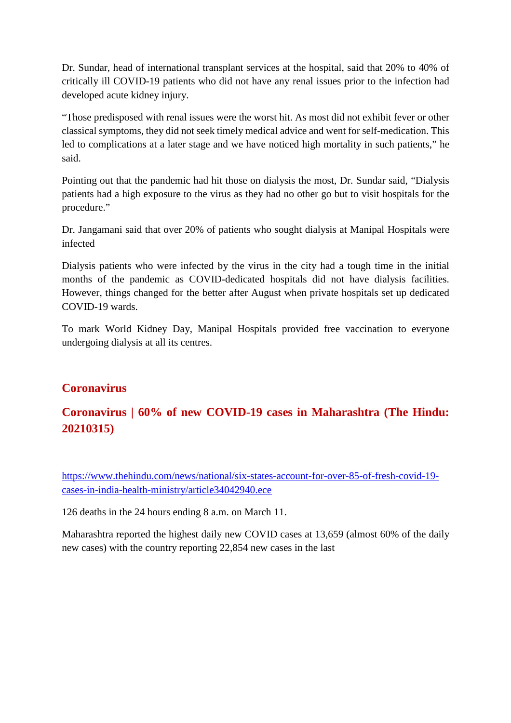Dr. Sundar, head of international transplant services at the hospital, said that 20% to 40% of critically ill COVID-19 patients who did not have any renal issues prior to the infection had developed acute kidney injury.

"Those predisposed with renal issues were the worst hit. As most did not exhibit fever or other classical symptoms, they did not seek timely medical advice and went for self-medication. This led to complications at a later stage and we have noticed high mortality in such patients," he said.

Pointing out that the pandemic had hit those on dialysis the most, Dr. Sundar said, "Dialysis patients had a high exposure to the virus as they had no other go but to visit hospitals for the procedure."

Dr. Jangamani said that over 20% of patients who sought dialysis at Manipal Hospitals were infected

Dialysis patients who were infected by the virus in the city had a tough time in the initial months of the pandemic as COVID-dedicated hospitals did not have dialysis facilities. However, things changed for the better after August when private hospitals set up dedicated COVID-19 wards.

To mark World Kidney Day, Manipal Hospitals provided free vaccination to everyone undergoing dialysis at all its centres.

#### **Coronavirus**

#### **Coronavirus | 60% of new COVID-19 cases in Maharashtra (The Hindu: 20210315)**

https://www.thehindu.com/news/national/six-states-account-for-over-85-of-fresh-covid-19 cases-in-india-health-ministry/article34042940.ece

126 deaths in the 24 hours ending 8 a.m. on March 11.

Maharashtra reported the highest daily new COVID cases at 13,659 (almost 60% of the daily new cases) with the country reporting 22,854 new cases in the last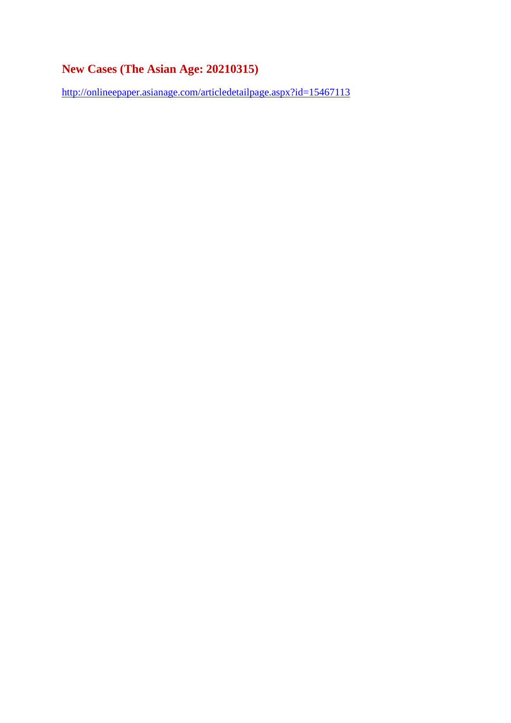#### **New Cases (The Asian Age: 20210315)**

http://onlineepaper.asianage.com/articledetailpage.aspx?id=15467113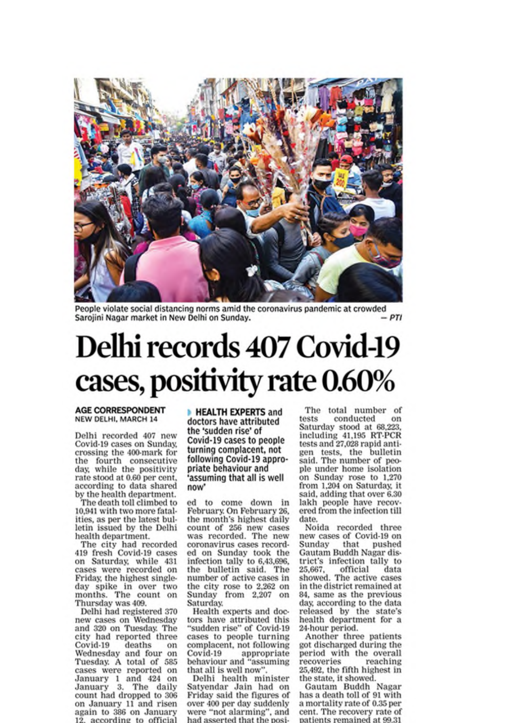

People violate social distancing norms amid the coronavirus pandemic at crowded  $-PTI$ Sarojini Nagar market in New Delhi on Sunday.

## Delhi records 407 Covid-19 cases, positivity rate 0.60%

#### **AGE CORRESPONDENT NEW DELHI, MARCH 14**

Delhi recorded 407 new Covid-19 cases on Sunday, crossing the 400-mark for the fourth consecutive day, while the positivity rate stood at 0.60 per cent, according to data shared by the health department.

The death toll climbed to 10,941 with two more fatalities, as per the latest bulletin issued by the Delhi health department.

The city had recorded<br>419 fresh Covid-19 cases on Saturday, while 431 cases were recorded on Friday, the highest singleday spike in over two<br>months. The count on Thursday was 409.

Delhi had registered 370 new cases on Wednesday and 320 on Tuesday. The city had reported three Covid-19 deaths on Wednesday and four on Tuesday. A total of 585 cases were reported on<br>January 1 and 424 on<br>January 3. The daily count had dropped to 306 on January 11 and risen again to 386 on January 12. according to official

**HEALTH EXPERTS and** doctors have attributed the 'sudden rise' of Covid-19 cases to people turning complacent, not following Covid-19 appropriate behaviour and assuming that all is well now'

ed to come down in February. On February 26, the month's highest daily count of 256 new cases was recorded. The new coronavirus cases recorded on Sunday took the infection tally to 6,43,696. the bulletin said. The number of active cases in the city rose to 2,262 on<br>Sunday from 2,207 on Saturday.

Health experts and doctors have attributed this "sudden rise" of Covid-19 cases to people turning complacent, not following  $Covid-19$ appropriate behaviour and "assuming that all is well now"

Delhi health minister Satyendar Jain had on Friday said the figures of over 400 per day suddenly were "not alarming", and had asserted that the posi-

The total number of conducted tests on Saturday stood at 68,223, including 41,195 RT-PCR tests and 27,028 rapid anti-<br>gen tests, the bulletin<br>said. The number of people under home isolation on Sunday rose to 1,270<br>from 1,204 on Saturday, it said, adding that over 6.30 lakh people have recovered from the infection till date.

Noida recorded three new cases of Covid-19 on Sunday that pushed<br>Gautam Buddh Nagar district's infection tally to 25,667. official data showed. The active cases in the district remained at 84, same as the previous day, according to the data<br>released by the state's health department for a 24-hour period.

Another three patients got discharged during the period with the overall recoveries reaching 25,492, the fifth highest in the state, it showed.

Gautam Buddh Nagar has a death toll of 91 with a mortality rate of 0.35 per cent. The recovery rate of patients remained at 99.31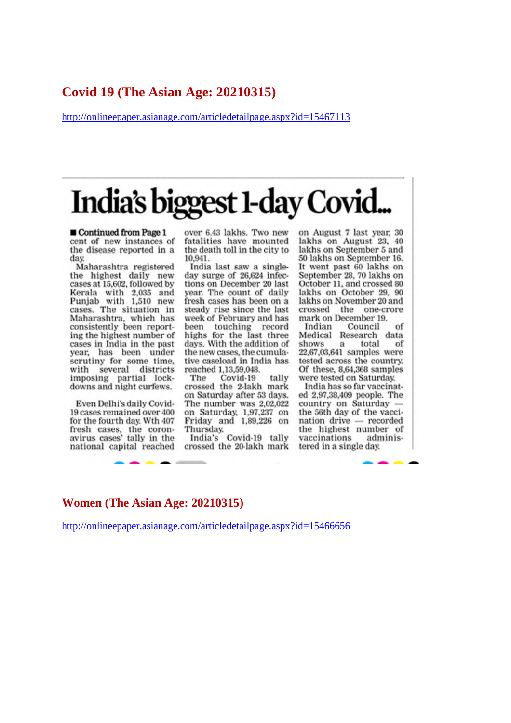#### **Covid 19 (The Asian Age: 20210315)**

http://onlineepaper.asianage.com/articledetailpage.aspx?id=15467113

# India's biggest 1-day Covid...

Continued from Page 1 cent of new instances of the disease reported in a day.

Maharashtra registered the highest daily new cases at 15,602, followed by Kerala with 2,035 and Punjab with 1,510 new cases. The situation in Maharashtra, which has consistently been reporting the highest number of cases in India in the past year, has been under scrutiny for some time, with several districts imposing partial lockdowns and night curfews.

Even Delhi's daily Covid-19 cases remained over 400 for the fourth day. Wth 407 fresh cases, the coron-<br>avirus cases' tally in the national capital reached over 6.43 lakhs. Two new fatalities have mounted the death toll in the city to 10.941.

India last saw a singleday surge of 26,624 infections on December 20 last year. The count of daily fresh cases has been on a steady rise since the last week of February and has been touching record highs for the last three days. With the addition of the new cases, the cumulative caseload in India has reached 1,13,59,048.

The Covid-19 tally crossed the 2-lakh mark on Saturday after 53 days. The number was 2,02,022 on Saturday, 1,97,237 on Friday and 1,89,226 on Thursday.

India's Covid-19 tally crossed the 20-lakh mark on August 7 last year, 30 lakhs on August 23, 40 lakhs on September 5 and 50 lakhs on September 16. It went past 60 lakhs on September 28, 70 lakhs on October 11, and crossed 80 lakhs on October 29, 90 lakhs on November 20 and crossed the one-crore mark on December 19.

Indian Council of Research data Medical shows  $\mathbf{a}$ total of 22,67,03,641 samples were tested across the country. Of these, 8,64,368 samples were tested on Saturday.

India has so far vaccinated 2,97,38,409 people. The country on Saturday the 56th day of the vaccination drive recorded the highest number of vaccinations administered in a single day.

#### **Women (The Asian Age: 20210315)**

http://onlineepaper.asianage.com/articledetailpage.aspx?id=15466656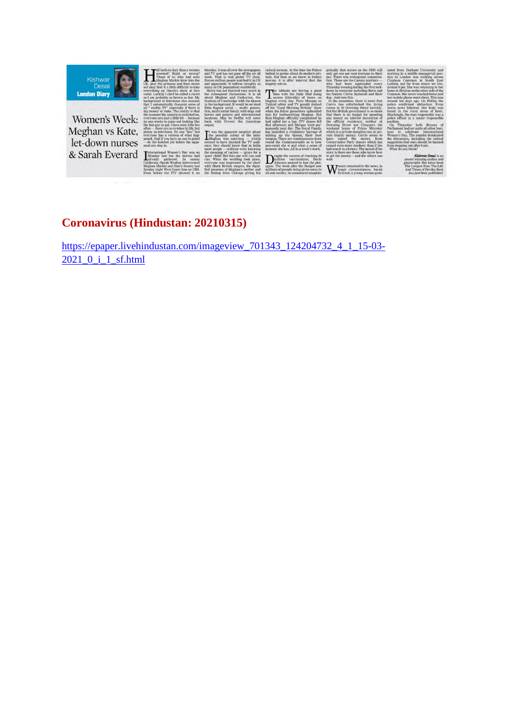

Women's Week: Meghan vs Kate, & Sarah Everard I

eaus<br>g lik

D

#### **Coronavirus (Hindustan: 20210315)**

https://epaper.livehindustan.com/imageview\_701343\_124204732\_4\_1\_15-03- 2021\_0\_i\_1\_sf.html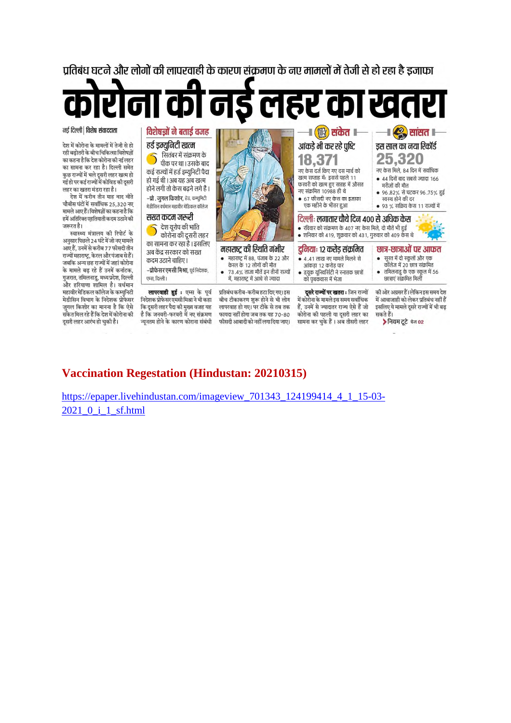प्रतिबंध घटने और लोगों की लापरवाही के कारण संक्रमण के नए मामलों में तेजी से हो रहा है इजाफा

**निई लहर का खत**  $\overline{G}$  $\overline{\mathbf{C}}$ 

फायदा नहीं होगा जब तक यह 70-80

फीसदी आबादी को नहीं लगा दिया जाए।

#### नई दिल्ली | विशेष संवाददाता

.<br>देश में कोरोना के मामलों में तेजी से हो .<br>रही बढ़ोतरी के बीच चिकित्सा विशेषज्ञों का कहना है कि देश कोरोना की नई लहर का सामना कर रहा है। दिल्ली समेत कुछ राज्यों में भले दूसरी लहर खत्म हो जुल्ड सम्भान गरा दूसरा राहर खरन है।<br>गई हो पर कई राज्यों में कोविड की दूसरी लहर का खतरा मंडरा रहा है।

देश में करीब तीन माह बाद बीते .<br>चौबीस घंटों में सर्वाधिक 25.320 नए मामले आए हैं। विशेषज्ञों का कहना है कि हमें अतिरिक्त एहतियाती कदम उठाने की .<br>जरूरत है।

स्वास्थ्य मंत्रालय की रिपोर्ट के अनुसार पिछले 24 घंटे में जो नए मामले आए हैं, उनमें से करीब 77 फीसदी तीन राज्यों महाराष्ट्र, केरल और पंजाब से हैं। जबकि अन्य छह राज्यों में जहां कोरोना के मामले बढ़ रहे हैं उनमें कर्नाटक, गुजरात, तमिलनाडु, मध्य प्रदेश, दिल्ली और हरियाणा शामिल है। वर्धमान महावीर मेडिकल कॉलेज के कम्युनिटी .<br>मेडीसिन विभाग के निदेशक प्रोफेसर जगल किशोर का मानना है कि ऐसे ्<br>संकेत मिल रहे हैं कि देश में कोरोना की दुसरी लहर आरंभ हो चुकी है।



कोरोना की पहली या दसरी लहर का

सामना कर चुके हैं। अब तीसरी लहर

सकते हैं।

▶ नियम टूटे पेज 02

#### **Vaccination Regestation (Hindustan: 20210315)**

है कि जनवरी-फरवरी में नए संक्रमण

.<br>न्यनतम होने के कारण कोराना संबंधी

https://epaper.livehindustan.com/imageview\_701343\_124199414\_4\_1\_15-03-2021\_0\_i\_1\_sf.html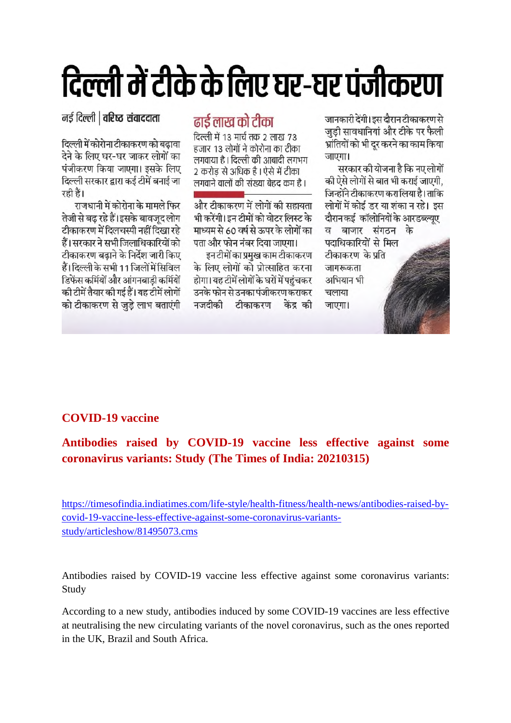# दिल्ली में टीके के लिए घर-घर पंजीकरण

नर्ड दिल्ली | वरिष्ट संवाददाता

दिल्ली में कोरोना टीकाकरण को बढावा देने के लिए घर-घर जाकर लोगों का पंजीकरण किया जाएगा। इसके लिए दिल्ली सरकार द्वारा कई टीमें बनाई जा रही हैं।

राजधानी में कोरोना के मामले फिर तेजी से बढ रहे हैं।इसके बावजद लोग टीकाकरण में दिलचस्पी नहीं दिखा रहे हैं। सरकार ने सभी जिलाधिकारियों को टीकाकरण बढाने के निर्देश जारी किए हैं। दिल्ली के सभी 11 जिलों में सिविल डिफेंस कर्मियों और आंगनबाडी कर्मियों की टीमें तैयार की गई हैं। यह टीमें लोगों को टीकाकरण से जुड़े लाभ बताएंगी

#### ढाई लाख को टीका

दिल्ली में 13 मार्च तक 2 लाख 73 हजार 13 लोगों ने कोरोना का टीका लगवाया है। दिल्ली की आबादी लगभग 2 करोड़ से अधिक है । ऐसे में टीका लगवाने वालों की संख्या बेहद कम है।

और टीकाकरण में लोगों की सहायता भी करेंगी। इन टीमों को वोटर लिस्ट के माध्यम से 60 वर्ष से ऊपर के लोगों का पता और फोन नंबर दिया जाएगा।

इन टीमों का प्रमख काम टीकाकरण के लिए लोगों को प्रोत्साहित करना होगा। यह टीमें लोगों के घरों में पहंचकर उनके फोन से उनका पंजीकरण कराकर नजदीकी टीकाकरण केंद्र की

जानकारी देंगी। इस दौरान टीकाकरण से जुड़ी सावधानियां और टीके पर फैली भ्रांतियों को भी दर करने का काम किया जाएगा।

सरकार की योजना है कि नए लोगों की ऐसे लोगों से बात भी कराई जाएगी. जिन्होंने टीकाकरण करा लिया है। ताकि लोगों में कोई डर या शंका न रहे। इस दौरान कई कॉलोनियों के आरडब्ल्यए व बाजार संगठन के पदाधिकारियों से मिल टीकाकरण के प्रति जागरूकता अभियान भी चलाया जाएगा।

#### **COVID-19 vaccine**

#### **Antibodies raised by COVID-19 vaccine less effective against some coronavirus variants: Study (The Times of India: 20210315)**

https://timesofindia.indiatimes.com/life-style/health-fitness/health-news/antibodies-raised-bycovid-19-vaccine-less-effective-against-some-coronavirus-variantsstudy/articleshow/81495073.cms

Antibodies raised by COVID-19 vaccine less effective against some coronavirus variants: Study

According to a new study, antibodies induced by some COVID-19 vaccines are less effective at neutralising the new circulating variants of the novel coronavirus, such as the ones reported in the UK, Brazil and South Africa.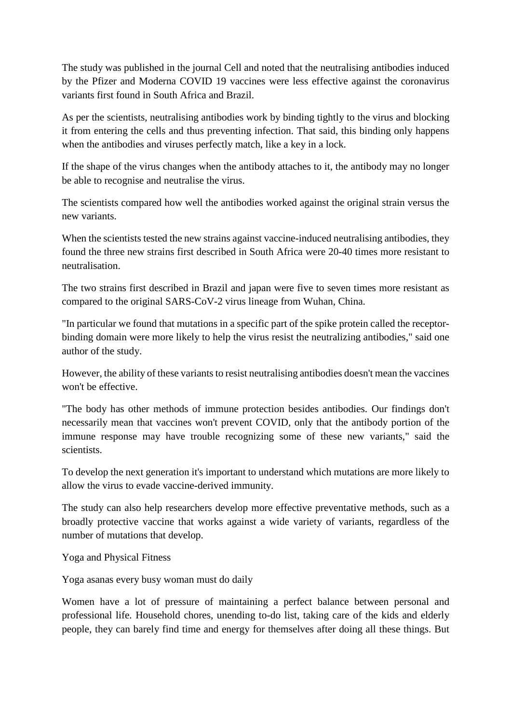The study was published in the journal Cell and noted that the neutralising antibodies induced by the Pfizer and Moderna COVID 19 vaccines were less effective against the coronavirus variants first found in South Africa and Brazil.

As per the scientists, neutralising antibodies work by binding tightly to the virus and blocking it from entering the cells and thus preventing infection. That said, this binding only happens when the antibodies and viruses perfectly match, like a key in a lock.

If the shape of the virus changes when the antibody attaches to it, the antibody may no longer be able to recognise and neutralise the virus.

The scientists compared how well the antibodies worked against the original strain versus the new variants.

When the scientists tested the new strains against vaccine-induced neutralising antibodies, they found the three new strains first described in South Africa were 20-40 times more resistant to neutralisation.

The two strains first described in Brazil and japan were five to seven times more resistant as compared to the original SARS-CoV-2 virus lineage from Wuhan, China.

"In particular we found that mutations in a specific part of the spike protein called the receptorbinding domain were more likely to help the virus resist the neutralizing antibodies," said one author of the study.

However, the ability of these variants to resist neutralising antibodies doesn't mean the vaccines won't be effective.

"The body has other methods of immune protection besides antibodies. Our findings don't necessarily mean that vaccines won't prevent COVID, only that the antibody portion of the immune response may have trouble recognizing some of these new variants," said the scientists.

To develop the next generation it's important to understand which mutations are more likely to allow the virus to evade vaccine-derived immunity.

The study can also help researchers develop more effective preventative methods, such as a broadly protective vaccine that works against a wide variety of variants, regardless of the number of mutations that develop.

Yoga and Physical Fitness

Yoga asanas every busy woman must do daily

Women have a lot of pressure of maintaining a perfect balance between personal and professional life. Household chores, unending to-do list, taking care of the kids and elderly people, they can barely find time and energy for themselves after doing all these things. But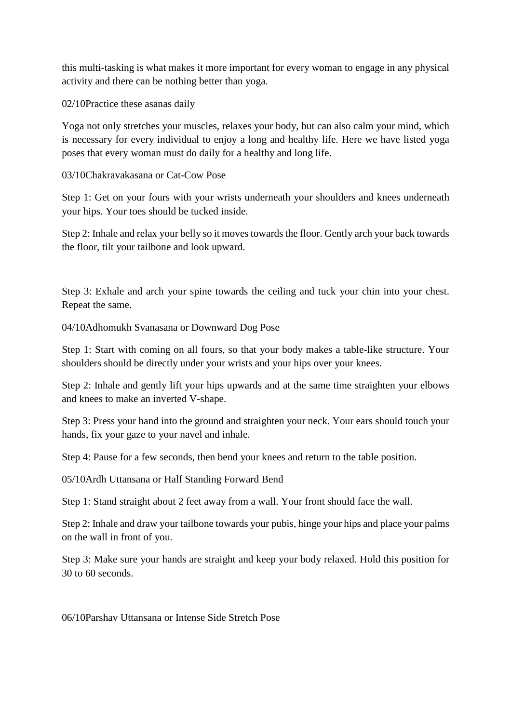this multi-tasking is what makes it more important for every woman to engage in any physical activity and there can be nothing better than yoga.

02/10Practice these asanas daily

Yoga not only stretches your muscles, relaxes your body, but can also calm your mind, which is necessary for every individual to enjoy a long and healthy life. Here we have listed yoga poses that every woman must do daily for a healthy and long life.

03/10Chakravakasana or Cat-Cow Pose

Step 1: Get on your fours with your wrists underneath your shoulders and knees underneath your hips. Your toes should be tucked inside.

Step 2: Inhale and relax your belly so it moves towards the floor. Gently arch your back towards the floor, tilt your tailbone and look upward.

Step 3: Exhale and arch your spine towards the ceiling and tuck your chin into your chest. Repeat the same.

04/10Adhomukh Svanasana or Downward Dog Pose

Step 1: Start with coming on all fours, so that your body makes a table-like structure. Your shoulders should be directly under your wrists and your hips over your knees.

Step 2: Inhale and gently lift your hips upwards and at the same time straighten your elbows and knees to make an inverted V-shape.

Step 3: Press your hand into the ground and straighten your neck. Your ears should touch your hands, fix your gaze to your navel and inhale.

Step 4: Pause for a few seconds, then bend your knees and return to the table position.

05/10Ardh Uttansana or Half Standing Forward Bend

Step 1: Stand straight about 2 feet away from a wall. Your front should face the wall.

Step 2: Inhale and draw your tailbone towards your pubis, hinge your hips and place your palms on the wall in front of you.

Step 3: Make sure your hands are straight and keep your body relaxed. Hold this position for 30 to 60 seconds.

06/10Parshav Uttansana or Intense Side Stretch Pose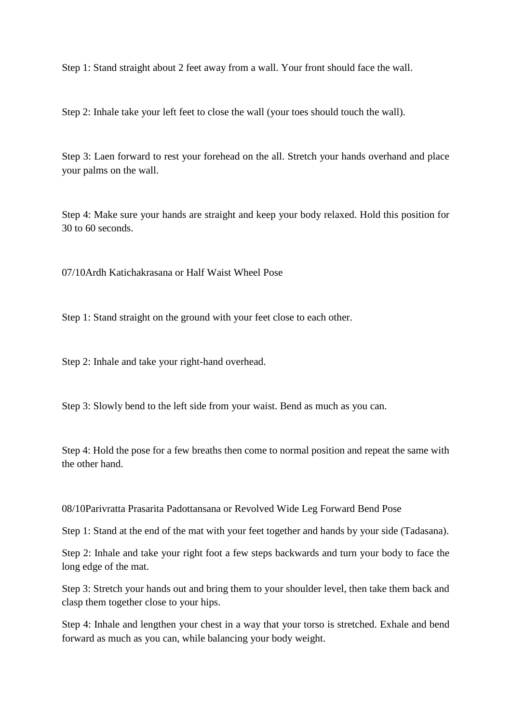Step 1: Stand straight about 2 feet away from a wall. Your front should face the wall.

Step 2: Inhale take your left feet to close the wall (your toes should touch the wall).

Step 3: Laen forward to rest your forehead on the all. Stretch your hands overhand and place your palms on the wall.

Step 4: Make sure your hands are straight and keep your body relaxed. Hold this position for 30 to 60 seconds.

07/10Ardh Katichakrasana or Half Waist Wheel Pose

Step 1: Stand straight on the ground with your feet close to each other.

Step 2: Inhale and take your right-hand overhead.

Step 3: Slowly bend to the left side from your waist. Bend as much as you can.

Step 4: Hold the pose for a few breaths then come to normal position and repeat the same with the other hand.

08/10Parivratta Prasarita Padottansana or Revolved Wide Leg Forward Bend Pose

Step 1: Stand at the end of the mat with your feet together and hands by your side (Tadasana).

Step 2: Inhale and take your right foot a few steps backwards and turn your body to face the long edge of the mat.

Step 3: Stretch your hands out and bring them to your shoulder level, then take them back and clasp them together close to your hips.

Step 4: Inhale and lengthen your chest in a way that your torso is stretched. Exhale and bend forward as much as you can, while balancing your body weight.